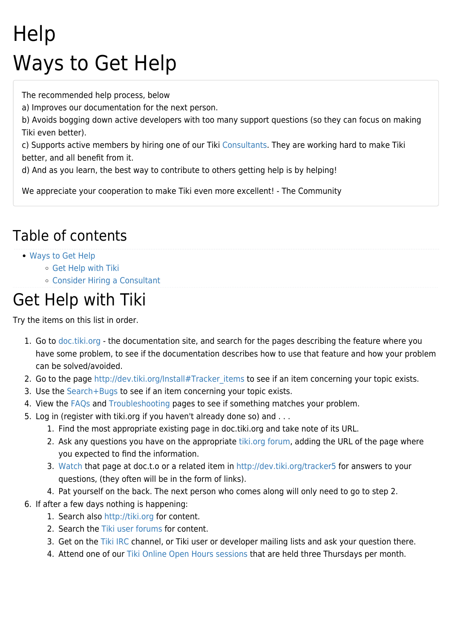## **Help** Ways to Get Help

The recommended help process, below

a) Improves our documentation for the next person.

b) Avoids bogging down active developers with too many support questions (so they can focus on making Tiki even better).

c) Supports active members by hiring one of our Tiki [Consultants.](https://translation.tiki.org/Consultants) They are working hard to make Tiki better, and all benefit from it.

d) And as you learn, the best way to contribute to others getting help is by helping!

We appreciate your cooperation to make Tiki even more excellent! - The Community

## Table of contents

- [Ways to Get Help](#page--1-0)
	- [Get Help with Tiki](#page--1-0)
	- [Consider Hiring a Consultant](#page--1-0)

## Get Help with Tiki

Try the items on this list in order.

- 1. Go to [doc.tiki.org](http://doc.tiki.org)  the documentation site, and search for the pages describing the feature where you have some problem, to see if the documentation describes how to use that feature and how your problem can be solved/avoided.
- 2. Go to the page http://dev.tiki.org/Install#Tracker items to see if an item concerning your topic exists.
- 3. Use the [Search+Bugs](http://dev.tiki.org/Search%2BBugs) to see if an item concerning your topic exists.
- 4. View the [FAQs](http://doc.tiki.org/tiki-list_faqs.php) and [Troubleshooting](http://doc.tiki.org/Troubleshooting) pages to see if something matches your problem.
- 5. Log in (register with tiki.org if you haven't already done so) and . . .
	- 1. Find the most appropriate existing page in doc.tiki.org and take note of its URL.
	- 2. Ask any questions you have on the appropriate [tiki.org forum](https://translation.tiki.org/forums), adding the URL of the page where you expected to find the information.
	- 3. [Watch](http://doc.tiki.org/Watch) that page at doc.t.o or a related item in <http://dev.tiki.org/tracker5>for answers to your questions, (they often will be in the form of links).
	- 4. Pat yourself on the back. The next person who comes along will only need to go to step 2.
- 6. If after a few days nothing is happening:
	- 1. Search also <http://tiki.org>for content.
	- 2. Search the [Tiki user forums](https://translation.tiki.org/forums) for content.
	- 3. Get on the [Tiki IRC](https://translation.tiki.org/Connecting-To-IRC) channel, or [Tiki user or developer mailing lists](https://translation.tiki.org/tiki-editpage.php?page=Mailing-Lists) and ask your question there.
	- 4. Attend one of our [Tiki Online Open Hours sessions](https://translation.tiki.org/Tiki-Online-Open-Hours) that are held three Thursdays per month.